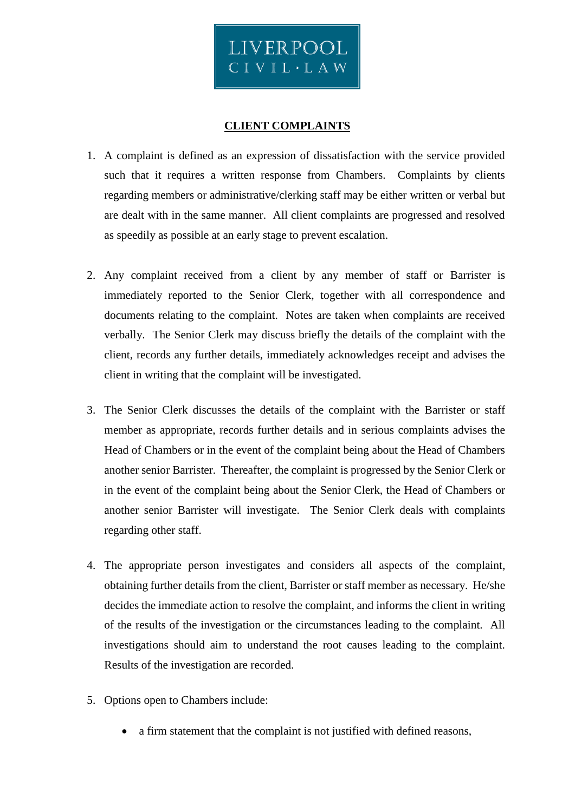

## **CLIENT COMPLAINTS**

- 1. A complaint is defined as an expression of dissatisfaction with the service provided such that it requires a written response from Chambers. Complaints by clients regarding members or administrative/clerking staff may be either written or verbal but are dealt with in the same manner. All client complaints are progressed and resolved as speedily as possible at an early stage to prevent escalation.
- 2. Any complaint received from a client by any member of staff or Barrister is immediately reported to the Senior Clerk, together with all correspondence and documents relating to the complaint. Notes are taken when complaints are received verbally. The Senior Clerk may discuss briefly the details of the complaint with the client, records any further details, immediately acknowledges receipt and advises the client in writing that the complaint will be investigated.
- 3. The Senior Clerk discusses the details of the complaint with the Barrister or staff member as appropriate, records further details and in serious complaints advises the Head of Chambers or in the event of the complaint being about the Head of Chambers another senior Barrister. Thereafter, the complaint is progressed by the Senior Clerk or in the event of the complaint being about the Senior Clerk, the Head of Chambers or another senior Barrister will investigate. The Senior Clerk deals with complaints regarding other staff.
- 4. The appropriate person investigates and considers all aspects of the complaint, obtaining further details from the client, Barrister or staff member as necessary. He/she decides the immediate action to resolve the complaint, and informs the client in writing of the results of the investigation or the circumstances leading to the complaint. All investigations should aim to understand the root causes leading to the complaint. Results of the investigation are recorded.
- 5. Options open to Chambers include:
	- a firm statement that the complaint is not justified with defined reasons,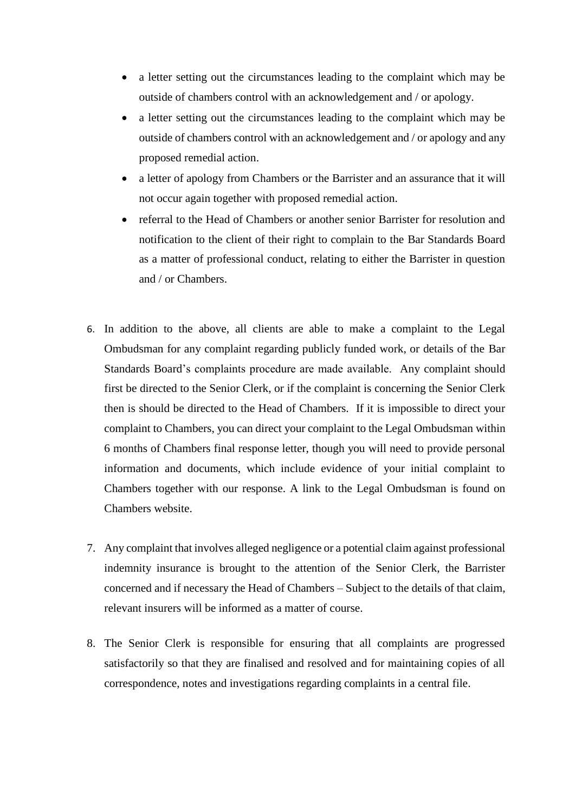- a letter setting out the circumstances leading to the complaint which may be outside of chambers control with an acknowledgement and / or apology.
- a letter setting out the circumstances leading to the complaint which may be outside of chambers control with an acknowledgement and / or apology and any proposed remedial action.
- a letter of apology from Chambers or the Barrister and an assurance that it will not occur again together with proposed remedial action.
- referral to the Head of Chambers or another senior Barrister for resolution and notification to the client of their right to complain to the Bar Standards Board as a matter of professional conduct, relating to either the Barrister in question and / or Chambers.
- 6. In addition to the above, all clients are able to make a complaint to the Legal Ombudsman for any complaint regarding publicly funded work, or details of the Bar Standards Board's complaints procedure are made available. Any complaint should first be directed to the Senior Clerk, or if the complaint is concerning the Senior Clerk then is should be directed to the Head of Chambers. If it is impossible to direct your complaint to Chambers, you can direct your complaint to the Legal Ombudsman within 6 months of Chambers final response letter, though you will need to provide personal information and documents, which include evidence of your initial complaint to Chambers together with our response. A link to the Legal Ombudsman is found on Chambers website.
- 7. Any complaint that involves alleged negligence or a potential claim against professional indemnity insurance is brought to the attention of the Senior Clerk, the Barrister concerned and if necessary the Head of Chambers – Subject to the details of that claim, relevant insurers will be informed as a matter of course.
- 8. The Senior Clerk is responsible for ensuring that all complaints are progressed satisfactorily so that they are finalised and resolved and for maintaining copies of all correspondence, notes and investigations regarding complaints in a central file.